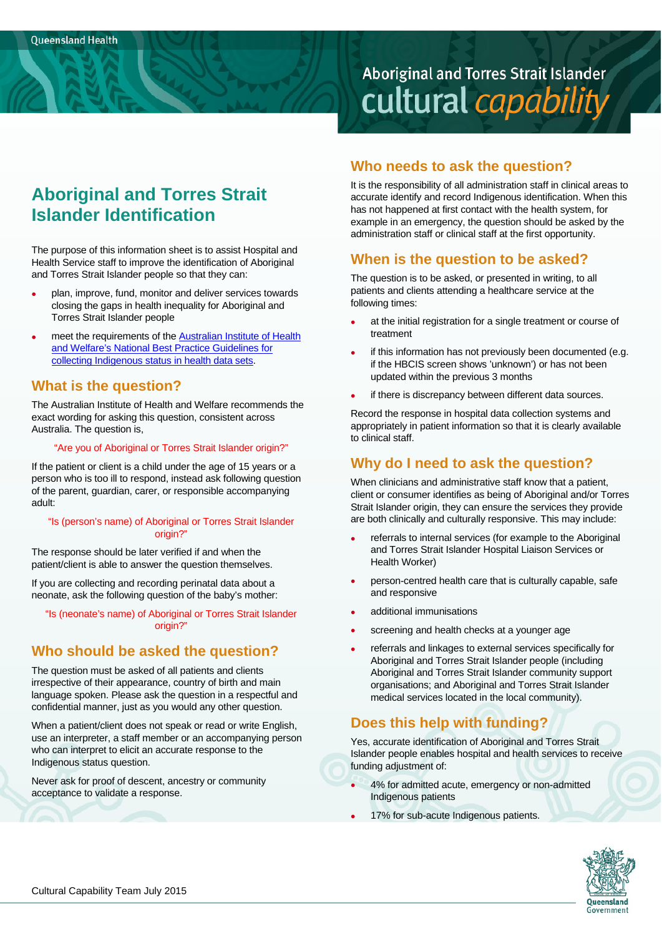# **Aboriginal and Torres Strait Islander** cultural capability

# **Aboriginal and Torres Strait Islander Identification**

The purpose of this information sheet is to assist Hospital and Health Service staff to improve the identification of Aboriginal and Torres Strait Islander people so that they can:

- plan, improve, fund, monitor and deliver services towards closing the gaps in health inequality for Aboriginal and Torres Strait Islander people
- meet the requirements of the Australian Institute of Health and Welfare's National Best Practice Guidelines for collecting Indigenous status in health data sets.

### **What is the question?**

The Australian Institute of Health and Welfare recommends the exact wording for asking this question, consistent across Australia. The question is,

#### "Are you of Aboriginal or Torres Strait Islander origin?"

If the patient or client is a child under the age of 15 years or a person who is too ill to respond, instead ask following question of the parent, guardian, carer, or responsible accompanying adult:

#### "Is (person's name) of Aboriginal or Torres Strait Islander origin?"

The response should be later verified if and when the patient/client is able to answer the question themselves.

If you are collecting and recording perinatal data about a neonate, ask the following question of the baby's mother:

"Is (neonate's name) of Aboriginal or Torres Strait Islander origin?"

# **Who should be asked the question?**

The question must be asked of all patients and clients irrespective of their appearance, country of birth and main language spoken. Please ask the question in a respectful and confidential manner, just as you would any other question.

When a patient/client does not speak or read or write English, use an interpreter, a staff member or an accompanying person who can interpret to elicit an accurate response to the Indigenous status question.

Never ask for proof of descent, ancestry or community acceptance to validate a response.

# **Who needs to ask the question?**

It is the responsibility of all administration staff in clinical areas to accurate identify and record Indigenous identification. When this has not happened at first contact with the health system, for example in an emergency, the question should be asked by the administration staff or clinical staff at the first opportunity.

# **When is the question to be asked?**

The question is to be asked, or presented in writing, to all patients and clients attending a healthcare service at the following times:

- at the initial registration for a single treatment or course of treatment
- if this information has not previously been documented (e.g. if the HBCIS screen shows 'unknown') or has not been updated within the previous 3 months
- if there is discrepancy between different data sources.

Record the response in hospital data collection systems and appropriately in patient information so that it is clearly available to clinical staff.

# **Why do I need to ask the question?**

When clinicians and administrative staff know that a patient, client or consumer identifies as being of Aboriginal and/or Torres Strait Islander origin, they can ensure the services they provide are both clinically and culturally responsive. This may include:

- referrals to internal services (for example to the Aboriginal and Torres Strait Islander Hospital Liaison Services or Health Worker)
- person-centred health care that is culturally capable, safe and responsive
- additional immunisations
- screening and health checks at a younger age
- referrals and linkages to external services specifically for Aboriginal and Torres Strait Islander people (including Aboriginal and Torres Strait Islander community support organisations; and Aboriginal and Torres Strait Islander medical services located in the local community).

# **Does this help with funding?**

Yes, accurate identification of Aboriginal and Torres Strait Islander people enables hospital and health services to receive funding adjustment of:

- 4% for admitted acute, emergency or non-admitted Indigenous patients
- 17% for sub-acute Indigenous patients.